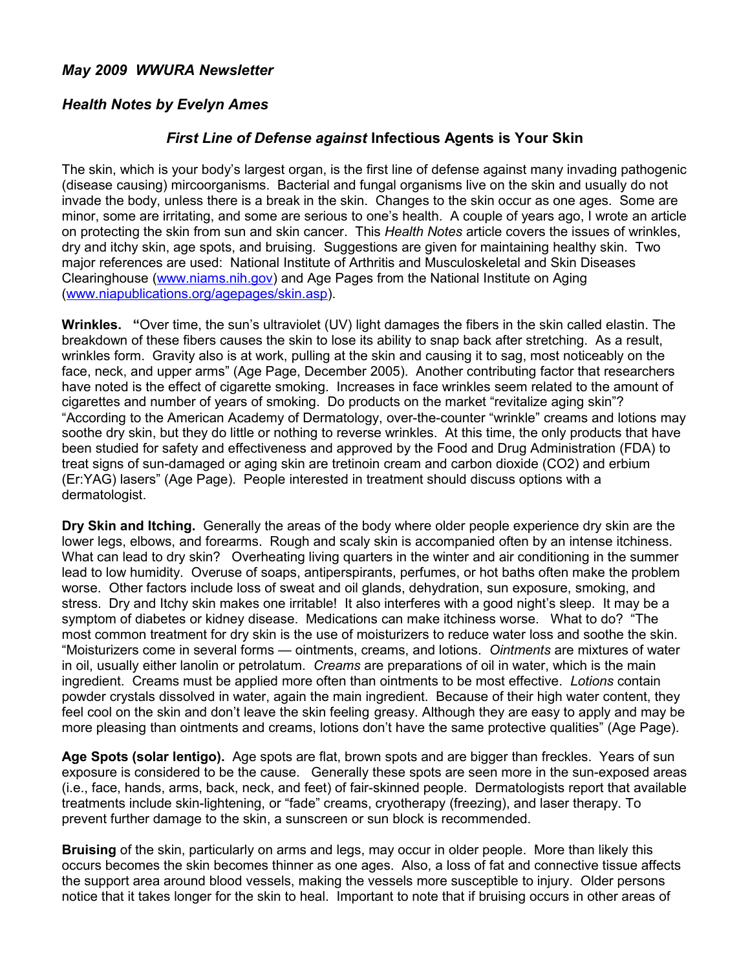## *May 2009 WWURA Newsletter*

## *Health Notes by Evelyn Ames*

## *First Line of Defense against* **Infectious Agents is Your Skin**

The skin, which is your body's largest organ, is the first line of defense against many invading pathogenic (disease causing) mircoorganisms. Bacterial and fungal organisms live on the skin and usually do not invade the body, unless there is a break in the skin. Changes to the skin occur as one ages. Some are minor, some are irritating, and some are serious to one's health. A couple of years ago, I wrote an article on protecting the skin from sun and skin cancer. This *Health Notes* article covers the issues of wrinkles, dry and itchy skin, age spots, and bruising. Suggestions are given for maintaining healthy skin. Two major references are used: National Institute of Arthritis and Musculoskeletal and Skin Diseases Clearinghouse [\(www.niams.nih.gov\)](http://www.niams.nih.gov/) and Age Pages from the National Institute on Aging [\(www.niapublications.org/agepages/skin.asp\)](http://www.niapublications.org/agepages/skin.asp).

**Wrinkles. "**Over time, the sun's ultraviolet (UV) light damages the fibers in the skin called elastin. The breakdown of these fibers causes the skin to lose its ability to snap back after stretching. As a result, wrinkles form. Gravity also is at work, pulling at the skin and causing it to sag, most noticeably on the face, neck, and upper arms" (Age Page, December 2005). Another contributing factor that researchers have noted is the effect of cigarette smoking. Increases in face wrinkles seem related to the amount of cigarettes and number of years of smoking. Do products on the market "revitalize aging skin"? "According to the American Academy of Dermatology, over-the-counter "wrinkle" creams and lotions may soothe dry skin, but they do little or nothing to reverse wrinkles. At this time, the only products that have been studied for safety and effectiveness and approved by the Food and Drug Administration (FDA) to treat signs of sun-damaged or aging skin are tretinoin cream and carbon dioxide (CO2) and erbium (Er:YAG) lasers" (Age Page). People interested in treatment should discuss options with a dermatologist.

**Dry Skin and Itching.** Generally the areas of the body where older people experience dry skin are the lower legs, elbows, and forearms. Rough and scaly skin is accompanied often by an intense itchiness. What can lead to dry skin? Overheating living quarters in the winter and air conditioning in the summer lead to low humidity. Overuse of soaps, antiperspirants, perfumes, or hot baths often make the problem worse. Other factors include loss of sweat and oil glands, dehydration, sun exposure, smoking, and stress. Dry and Itchy skin makes one irritable! It also interferes with a good night's sleep. It may be a symptom of diabetes or kidney disease. Medications can make itchiness worse. What to do? "The most common treatment for dry skin is the use of moisturizers to reduce water loss and soothe the skin. "Moisturizers come in several forms — ointments, creams, and lotions. *Ointments* are mixtures of water in oil, usually either lanolin or petrolatum. *Creams* are preparations of oil in water, which is the main ingredient. Creams must be applied more often than ointments to be most effective. *Lotions* contain powder crystals dissolved in water, again the main ingredient. Because of their high water content, they feel cool on the skin and don't leave the skin feeling greasy. Although they are easy to apply and may be more pleasing than ointments and creams, lotions don't have the same protective qualities" (Age Page).

**Age Spots (solar lentigo).** Age spots are flat, brown spots and are bigger than freckles. Years of sun exposure is considered to be the cause. Generally these spots are seen more in the sun-exposed areas (i.e., face, hands, arms, back, neck, and feet) of fair-skinned people. Dermatologists report that available treatments include skin-lightening, or "fade" creams, cryotherapy (freezing), and laser therapy. To prevent further damage to the skin, a sunscreen or sun block is recommended.

**Bruising** of the skin, particularly on arms and legs, may occur in older people. More than likely this occurs becomes the skin becomes thinner as one ages. Also, a loss of fat and connective tissue affects the support area around blood vessels, making the vessels more susceptible to injury. Older persons notice that it takes longer for the skin to heal. Important to note that if bruising occurs in other areas of